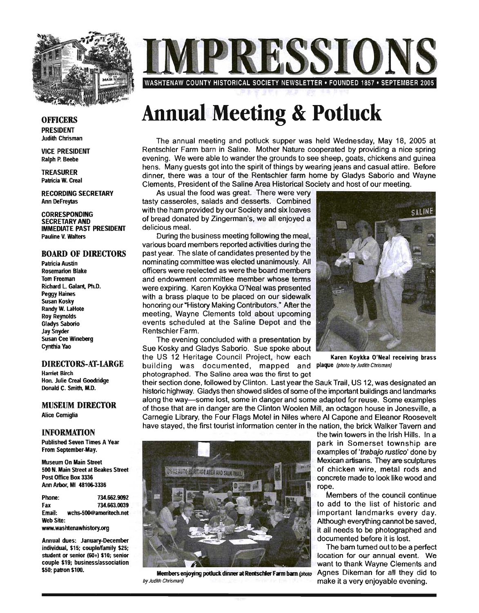

WASHTENAW COUNTY HISTORICAL SOCIETY NEWSLETTER • FOUNDED 1857 • SEPTEMBER 2005

#### **OFFICERS**

PRESIDENT Judith Chrisman

VICE PRESIDENT Ralph P. Beebe

TREASURER Pabicia W. Creal

RECORDING SECRETARY Ann DeFreytas

CORRESPONDING SECRETARY AND IMMEDIATE PAST PRESIDENT Pauline V. Walters

#### BOARD OF DIRECTORS

Patricia Austin Rosemarion Blake Tom Freeman Richard l. Galant, Ph.D. Peggy Haines Susan Kosky Randy W. laHote Roy Reynolds Gladys Saborio Jay Snyder Susan Cee Wineberg Cynthia Yao

#### DIRECTORS-AT-LARGE

Harriet Birch Hon. Julie Creal Goodridge Donald C. Smith, M.D.

#### MUSEUM DIRECTOR

Alice Cerniglia

#### INFORMATION

Published Seven Times A Year From September-May.

Museum On Main Street 500 N. Main Street at Beakes Street Post Office Box 3336 Ann Arbor, MI 48106-3336

Phone: 734.662.9092 Fax 734.663.0039 Email: wchs-500@ameritech.net Web Site:

www.washtenawhistory.org

Annual dues: January-December individual, \$15; couple/family \$25; student or senior (60+) \$10; senior couple \$19; business/association \$50; patron \$100.

## **Annual Meeting & Potluck**

The annual meeting and potluck supper was held Wednesday, May 18, 2005 at Rentschler Farm barn in Saline. Mother Nature cooperated by providing a nice spring evening. We were able to wander the grounds to see sheep, goats, chickens and guinea hens. Many guests got into the spirit of things by wearing jeans and casual attire. Before dinner, there was a tour of the Rentschler farm home by Gladys Saborio and Wayne Clements, President of the Saline Area Historical Society and host of our meeting.

As usual the food was great. There were very tasty casseroles, salads and desserts. Combined with the ham provided by our Society and six loaves of bread donated by Zingerman's, we all enjoyed a delicious meal.

During the business meeting following the meal, various board members reported activities during the past year. The slate of candidates presented by the nominating committee was elected unanimously. All officers were reelected as were the board members and endowment committee member whose terms were expiring. Karen Koykka O'Neal was presented with a brass plaque to be placed on our sidewalk honoring our "History Making Contributors." After the meeting, Wayne Clements told about upcoming events scheduled at the Saline Depot and the Rentschler Farm.

The evening concluded with a presentation by Sue Kosky and Gladys Saborio. Sue spoke about the US 12 Heritage Council Project, how each Karen Koykka O'Neal receiving brass building was documented, mapped and plaque (photo by Judith Chrisman) photographed. The Saline area was the first to get



their section done, followed by Clinton. Last year the Sauk Trail, US 12, was designated an historic highway. Gladys then showed slides of some of the important buildings and landmarks along the way-some lost, some in danger and some adapted for reuse. Some examples of those that are in danger are the Clinton Woolen Mill, an octagon house in Jonesville, a Carnegie Library, the Four Flags Motel in Niles where AI Capone and Eleanor Roosevelt have stayed, the first tourist information center in the nation, the brick Walker Tavern and



Members enjoying potluck dinner at Rentschler Farm barn (photo Agnes Dikeman for all they did to by Judith Chrisman) **make it a very enjoyable evening.** 

the twin towers in the Irish Hills. In a park in Somerset township are examples of 'trabajo rustico' done by Mexican artisans. They are sculptures of chicken wire, metal rods and concrete made to look like wood and rope.

Members of the council continue to add to the list of historic and important landmarks every day. Although everything cannot be saved, it all needs to be photographed and documented before it is lost.

The bam turned out to be a perfect location for our annual event. We want to thank Wayne Clements and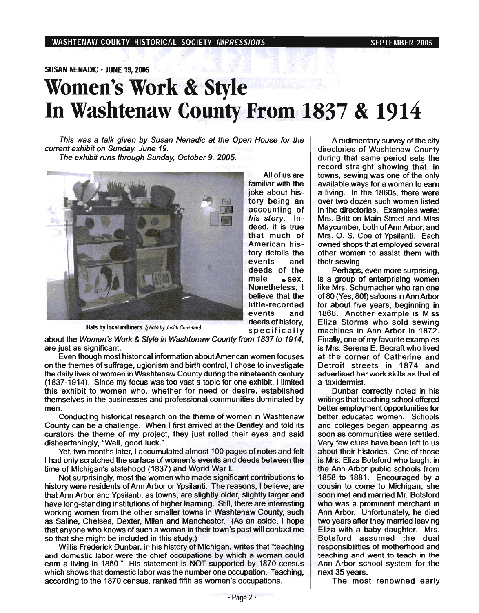#### SUSAN NENADIC • JUNE 19, 2005

### **Women's Work & Style**  In Washtenaw County From 1837 & 1914

This was a talk given by Susan Nenadic at the Open House for the current exhibit on Sunday, June 19.

The exhibit runs through Sunday, October 9, 2005.



deed, it is true that much of American history details the events and deeds of the male sex. Nonetheless, I believe that the little-recorded events and deeds of history, specifically

All of us are familiar with the joke about history being an accounting of his story. In-

Hats by local milliners (photo by Judith Chrisman)

about the Women's Work & Style in Washtenaw County from 1837 to 1914, are just as Significant.

Even though most historical information about American women focuses on the themes of suffrage, ugjonism and birth control, I chose to investigate the daily lives of women in Washtenaw County during the nineteenth century (1837-1914). Since my focus was too vast a topic for one exhibit, I limited this exhibit to women who, whether for need or desire, established themselves in the businesses and professional communities dominated by men.

Conducting historical research on the theme of women in Washtenaw County can be a challenge. When I first arrived at the Bentley and told its curators the theme of my project, they just rolled their eyes and said dishearteningly, "Well, good luck."

Yet, two months later, I accumulated almost 100 pages of notes and felt I had only scratched the surface of women's events and deeds between the time of Michigan's statehood (1837) and World War I.

Not surprisingly, most the women who made significant contributions to history were residents of Ann Arbor or Ypsilanti. The reasons, I believe, are that Ann Arbor and Ypsilanti, as towns, are slightly older, slightly larger and have long-standing institutions of higher learning. Still, there are interesting working women from the other smaller towns in Washtenaw County, such as Saline, Chelsea, Dexter, Milan and Manchester. (As an aside, I hope that anyone who knows of such a woman in their town's past will contact me so that she might be included in this study.)

Willis Frederick Dunbar, in his history of Michigan, writes that "teaching and domestic labor were the chief occupations by which a woman could earn a living in 1860." His statement is NOT supported by 1870 census which shows that domestic labor was the number one occupation. Teaching, according to the 1870 census, ranked fifth as women's occupations.

A rudimentary survey of the city directories of Washtenaw County during that same period sets the record straight showing that, in towns, sewing was one of the only available ways for a woman to earn a living. In the 1860s, there were over two dozen such women listed in the directories. Examples were: Mrs. Britt on Main Street and Miss Maycumber, both of Ann Arbor, and Mrs. O. S. Coe of Ypsilanti. Each owned shops that employed several other women to assist them with their sewing.

Perhaps, even more surprising. is a group of enterprising women like Mrs, Schumacher who ran one of 80 (Yes, 80!) saloons in Ann Arbor for about five years, beginning in 1868. Another example is Miss Eliza Storms who sold sewing machines in Ann Arbor in 1872. Finally, one of my favorite examples is Mrs. Serena E. Becraft who lived at the corner of Catherine and Detroit streets in 1874 and advertised her work skills as that of a taxidermist.

Dunbar correctly noted in his writings that teaching school offered better employment opportunities for better educated women. Schools and colleges began appearing as soon as communities were settled. Very few clues have been left to us about their histories. One of those is Mrs. Eliza Botsford who taught in the Ann Arbor public schools from 1858 to 1881. Encouraged by a cousin to come to Michigan, she soon met and married Mr. Botsford who was a prominent merchant in Ann Arbor. Unfortunately, he died two years after they married leaving Eliza with a baby daughter. Mrs. Botsford assumed the dual responsibilities of motherhood and teaching and went to teach in the Ann Arbor school system for the next 35 years.

The most renowned early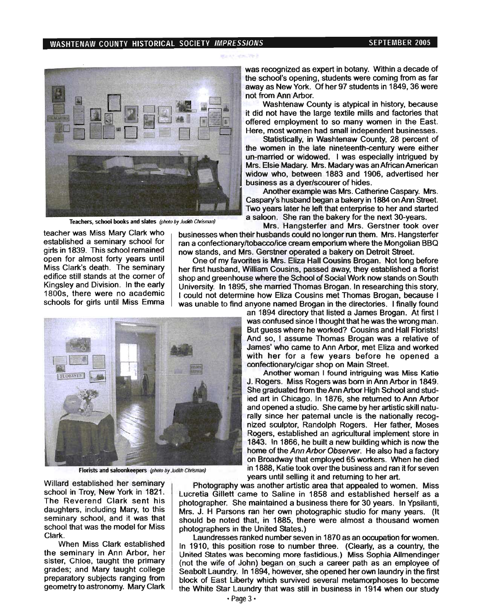#### WASHTENAW COUNTY HISTORICAL SOCIETY IMPRESSIONS SEPTEMBER 2005



was recognized as expert in botany. Within a decade of the school's opening, students were coming from as far away as New York. Of her 97 students in 1849, 36 were not from Ann Arbor.

Washtenaw County is atypical in history, because it did not have the large textile mills and factories that offered employment to so many women in the East. Here, most women had small independent businesses.

Statistically, in Washtenaw County, 28 percent of the women in the late nineteenth-century were either un-married or widowed. I was especially intrigued by Mrs. Elsie Madary. Mrs. Madary was an African American widow who, between 1883 and 1906, advertised her business as a dyer/scourer of hides.

Another example was Mrs. Catherine Caspary. Mrs. . Caspary's husband began a bakery in 1884 on Ann Street. Two years later he left that enterprise to her and started Teachers, school books and slates (photo by Judith Chrisman) a saloon. She ran the bakery for the next 30-years.

Mrs. Hangsterfer and Mrs. Gerstner took over teacher was Miss Mary Clark who businesses when their husbands could no longer run them. Mrs. Hangsterfer<br>established a seminary school for san a confectionary to become gream emportum where the Mongolian BBO ran a confectionary/tobacco/ice cream emporium where the Mongolian BBQ girls in 1839. This school remained now stands, and Mrs. Gerstner operated a bakery on Detroit Street.<br>One of my favorites is Mrs. Fliza Hall Cousins Brogan. Not long

open for almost forty years until Cone of my favorites is Mrs. Eliza Hall Cousins Brogan. Not long before<br>Miss Clark's death. The seminary Long first bushand William Cousins, passed away they established a florist Miss Clark's death. The seminary her first husband, William Cousins, passed away, they established a florist district edition of soluth editions on South editions on South editions on South editions on South editions on So edifice still stands at the corner of shop and greenhouse where the School of Social Work now stands on South<br>Kingsley and Division. In the early state in the standard on a married Thomas Brogan. In researching this stor Kingsley and Division. In the early University. In 1895, she married Thomas Brogan. In researching this story,<br>1800s, there were no academic University in determine how Fliza Cousins met Thomas Brogan, because L 1800s, there were no academic I could not determine how Eliza Cousins met Thomas Brogan, because I<br>I schools for girls until Miss Emma was unable to find anyone named Brogan in the directories. I finally found



Another woman I found intriguing was Miss Katie J. Rogers. Miss Rogers was born in Ann Arbor in 1849. She graduated from the Ann Arbor High School and studied art in Chicago. In 1876, she returned to Ann Arbor and opened a studio. She came by her artistic skill naturally since her paternal uncle is the nationally recognized sculptor, Randolph Rogers. Her father, Moses Rogers, established an agricultural implement store in 1843. In 1866, he built a new building which is now the home of the Ann Arbor Observer. He also had a factory on Broadway that employed 65 workers. When he died in 1888, Katie took over the business and ran it for seven years until selling it and returning to her art.

Photography was another artistic area that appealed to women. Miss Lucretia Gillett came to Saline in 1858 and established herself as a photographer. She maintained a business there for 30 years. In Ypsilanti, Mrs. J. H Parsons ran her own photographic studio for many years. (It should be noted that, in 1885, there were almost a thousand women photographers in the United States.)

Laundresses ranked number seven in 1870 as an occupation for women. In 1910, this position rose to number three. (Clearly, as a country, the United States was becoming more fastidious.) Miss Sophia Allmendinger (not the wife of John) began on such a career path as an employee of Seabolt Laundry. In 1894, however, she opened her own laundry in the first block of East Liberty which survived several metamorphoses to become the White Star Laundry that was still in business in 1914 when our study



Florists and saloonkeepers (photo by Judith Chrisman)

Willard established her seminary school in Troy, New York in 1821. The Reverend Clark sent his daughters, including Mary, to this seminary school, and it was that school that was the model for Miss Clark.

When Miss Clark established the seminary in Ann Arbor, her sister, Chloe, taught the primary grades; and Mary taught college preparatory subjects ranging from geometry to astronomy. Mary Clark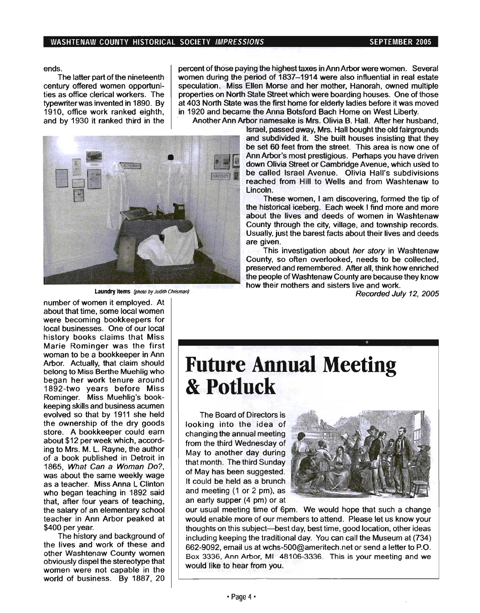ends.

The latter part of the nineteenth century offered women opportunities as office clerical workers. The typewriter was invented in 1890. By 1910, office work ranked eighth, and by 1930 it ranked third in the percent of those paying the highest taxes in Ann Arbor were women. Several women during the period of 1837-1914 were also influential in real estate speculation. Miss Ellen Morse and her mother, Hanorah, owned multiple properties on North State Street which were boarding houses. One of those at 403 North State was the first home for elderly ladies before it was moved in 1920 and became the Anna Botsford Bach Home on West Liberty.



Laundry items (photo by Judith Chrisman)

, Another Ann Arbor namesake is Mrs. Olivia B. Hall. After her husband, Israel, passed away, Mrs. Hall bought the old fairgrounds and subdivided it. She built houses insisting that they be set 60 feet from the street. This area is now one of Ann Arbor's most prestigious. Perhaps you have driven down Olivia Street or Cambridge Avenue, which used to be called Israel Avenue. Olivia Hall's subdivisions reached from Hill to Wells and from Washtenaw to Lincoln.

> These women, I am discovering, formed the tip of the historical iceberg. Each week I find more and more about the lives and deeds of women in Washtenaw County through the city, village, and township records. Usually, just the barest facts about their lives and deeds are given.

> This investigation about her story in Washtenaw County, so often overlooked, needs to be collected, preserved and remembered. After all, think how enriched the people of Washtenaw County are because they know how their mothers and sisters live and work.

> > Recorded July 12, 2005

number of women it employed. At about that time, some local women were becoming bookkeepers for local businesses. One of our local history books claims that Miss Marie Rominger was the first woman to be a bookkeeper in Ann Arbor. Actually, that claim should belong to Miss Berthe Muehlig who began her work tenure around 1892-two years before Miss Rominger. Miss Muehlig's bookkeeping skills and business acumen evolved so that by 1911 she held the ownership of the dry goods store. A bookkeeper could earn about \$12 per week which, according to Mrs. M. L. Rayne, the author of a book published in Detroit in 1865, What Can a Woman Do?, was about the same weekly wage as a teacher. Miss Anna L Clinton who began teaching in 1892 said that, after four years of teaching, the salary of an elementary school teacher in Ann Arbor peaked at \$400 per year.

The history and background of the lives and work of these and other Washtenaw County women obviously dispel the stereotype that women were not capable in the world of business. By 1887, 20

### **Future Annual Meeting & Potluck**

The Board of Directors is looking into the idea of changing the annual meeting from the third Wednesday of May to another day during that month, The third Sunday of May has been suggested. It could be held as a brunch and meeting (1 or 2 pm), as an early supper (4 pm) or at



our usual meeting time of 6pm. We would hope that such a change would enable more of our members to attend. Please let us know your thoughts on this subject-best day, best time, good location, other ideas including keeping the traditional day. You can call the Museum at (734) 662-9092, email us at wchs-500@ameritech.net or send a letter to P.O. Box 3336, Ann Arbor, MI 48106-3336. This is your meeting and we would like to hear from you.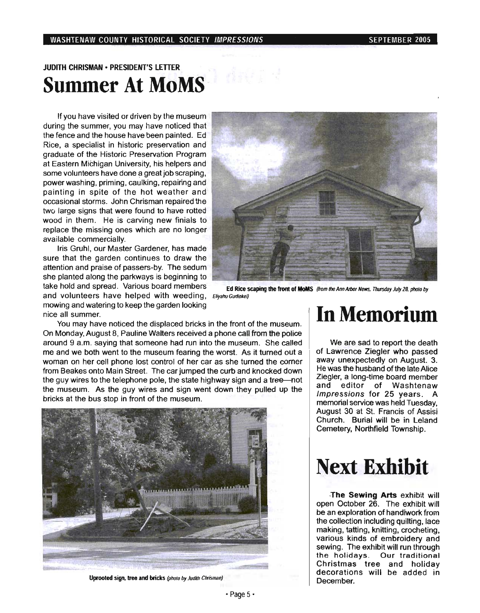### JUDITH CHRISMAN· PRESIDENT'S LETTER **Summer At MoMS'**

If you have visited or driven by the museum during the summer, you may have noticed that the fence and the house have been painted. Ed Rice, a specialist in historic preservation and graduate of the Historic Preservation Program at Eastern Michigan University, his helpers and some volunteers have done a great job scraping, power washing, priming, caulking, repairing and painting in spite of the hot weather and occasional storms. John Chrisman repaired the two large signs that were found to have rotted wood in them. He is carving new finials to replace the missing ones which are no longer available commercially.

Iris Gruhl, our Master Gardener, has made sure that the garden continues to draw the attention and praise of passers-by. The sedum she planted along the parkways is beginning to take hold and spread. Various board members Ed Rice scaping the front of MoMS (from the Ann Arbor News, Thursday July 28, photo by and volunteers have helped with weeding. Eliyahu Gurfinkel) mowing and watering to keep the garden looking nice all summer.



You may have noticed the displaced bricks in the front of the museum. On Monday, August 8, Pauline Walters received a phone call from the police around 9 a.m. saying that someone had run into the museum. She called me and we both went to the museum fearing the worst. As it turned out a woman on her cell phone lost control of her car as she turned the corner from Beakes onto Main Street. The car jumped the curb and knocked down the guy wires to the telephone pole, the state highway sign and a tree-not the museum. As the guy wires and sign went down they pulled up the bricks at the bus stop in front of the museum.



Uprooted sign, tree and bricks (photo by Judith Chrisman)

### In Memorium

We are sad to report the death of Lawrence Ziegler who passed away unexpectedly on August. 3. He was the husband of the late Alice Ziegler, a long-time board member and editor of Washtenaw Impressions for 25 years. A memorial service was held Tuesday, August 30 at St. Francis of Assisi Church. Burial will be in Leland Cemetery, Northfield Township.

### **Next Exhibit**

·The Sewing Arts exhibit will open October 26. The exhibit will be an exploration of handiwork from the collection including quilting, lace making, tatting, knitting, crocheting, various kinds of embroidery and sewing. The exhibit will run through the holidays. Our traditional Christmas tree and holiday decorations will be added in December.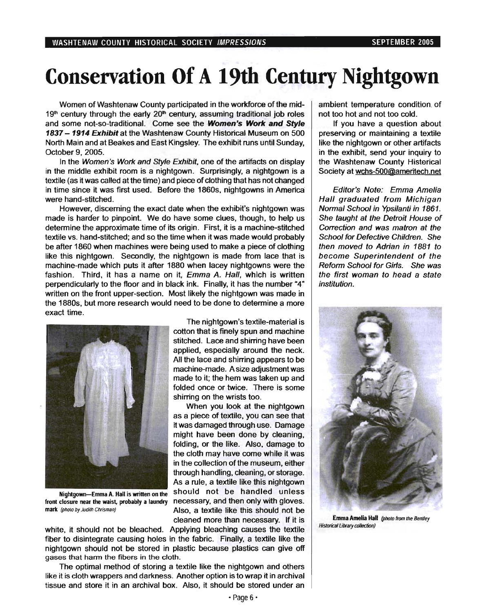# Conservation Of **A 19th Century Nightgown**

Women of Washtenaw County participated in the workforce of the mid- $19<sup>th</sup>$  century through the early  $20<sup>th</sup>$  century, assuming traditional job roles and some not-so-traditional. Come see the Women's Work and Style 1837 - 1914 Exhibit at the Washtenaw County Historical Museum on 500 North Main and at Beakes and East Kingsley. The exhibit runs until Sunday, October 9,2005.

In the Women's Work and Style Exhibit, one of the artifacts on display in the middle exhibit room is a nightgown. Surprisingly, a nightgown is a textile (as it was called at the time) and piece of clothing that has not changed in time since it was first used. Before. the 1860s, nightgowns in America were hand-stitched.

However, discerning the exact date when the exhibit's nightgown was made is harder to pinpoint. We do have some clues, though, to help us determine the approximate time of its origin. First, it is a machine-stitched textile vs. hand-stitched; and so the time when it was made would probably be after 1860 when machines were being used to make a piece of clothing like this nightgown. Secondly, the nightgown is made from lace that is machine-made which puts it after 1880 when lacey nightgowns were the fashion. Third, it has a name on it, Emma A. Hall, which is written perpendicularly to the floor and in black ink. Finally, it has the number "4" written on the front upper-section. Most likely the nightgown was made in the 1880s, but more research would need to be done to determine a more exact time.



Nightgown-Emma A. Hall is written on the front closure near the waist. probably a laundry mark (photo by Judith Chrisman)

The nightgown's textile-material is cotton that is finely spun and machine stitched. Lace and shirring have been applied, especially around the neck. All the lace and shirring appears to be machine-made. A size adjustment was made to it; the hem was taken up and folded once or twice. There is some shirring on the wrists too.

When you look at the nightgown as a piece of textile, you can see that it was damaged through use. Damage might have been done by cleaning, folding, or the like. Also, damage to the cloth may have come while it was in the collection of the museum, either through handling, cleaning, or storage. As a rule, a textile like this nightgown should not be handled unless necessary, and then only with gloves. Also, a textile like this should not be cleaned more than necessary. If it is

white, it should not be bleached. Applying bleaching causes the textile fiber to disintegrate causing holes in the fabric. Finally, a textile like the nightgown should not be stored in plastic because plastics can give off gases that harm the fibers in the cloth.

The optimal method of storing a textile like the nightgown and others like it is cloth wrappers and darkness. Another option is to wrap it in archival tissue and store it in an archival box. Also, it should be stored under an ambient temperature condition. of not too hot and not too cold.

If you have a question about preserving or maintaining a textile like the nightgown or other artifacts in the exhibit, send your inquiry to the Washtenaw County Histerical Society at wchs-50Q@ameritech.net

Editor's Note: Emma Amelia Hall graduated from Michigan Normal School in Ypsilanti in 1861. She taught at the Detroit House of Correction and was matron at the School for Defective Children. She then moved to Adrian in 1881 to become Superintendent of the Reform School for Girls. She was the first woman to head a state institution.



Emma Amelia Hall (photo from the Bentley Historical Library collection)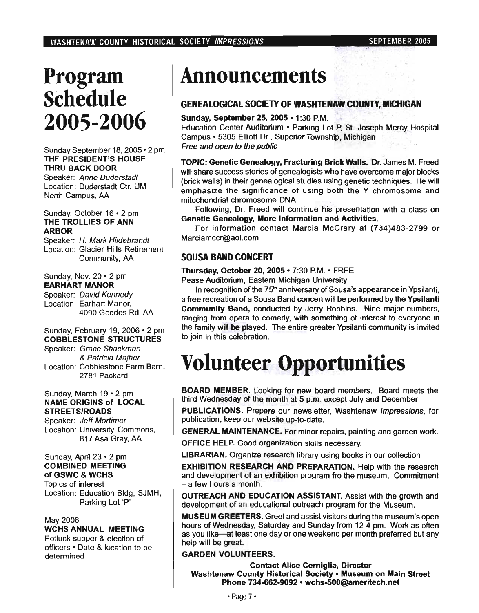## Program Schedule 2005-2006

Sunday September 18, 2005·2 pm THE PRESIDENT'S HOUSE THRU BACK DOOR

Speaker: Anne Duderstadt Location: Duderstadt Ctr, UM North Campus, AA

#### Sunday, October 16 • 2 pm THE TROLLIES OF ANN ARBOR

Speaker: H. Mark Hildebrandt Location: Glacier Hills Retirement Community, AA

Sunday, Nov. 20 • 2 pm EARHART MANOR

Speaker: David Kennedy Location: Earhart Manor, 4090 Geddes Rd, AA

#### Sunday, February 19, 2006 • 2 pm COBBLESTONE STRUCTURES

Speaker: Grace Shackman & Patricia Majher Location: Cobblestone Farm Bam, 2781 Packard

#### Sunday, March 19 • 2 pm NAME ORIGINS of LOCAL STREETS/ROADS

Speaker: Jeff Mortimer Location: University Commons, 817 Asa Gray, AA

#### Sunday, April 23 • 2 pm COMBINED MEETING of GSWC & WCHS

Topics of interest Location: Education Bldg, SJMH, Parking Lot 'P'

#### May 2006

#### WCHS ANNUAL MEETING

Potluck supper & election of officers· Date & location to be determined

## Announcements

### GENEALOGICAL SOCIETY OF WASHTENAW COUNTY. MICHIGAN

#### Sunday, September 25, 2005 · 1:30 P.M.

Education Center Auditorium - Parking Lot p, '51. Joseph Mercy Hospital Campus - 5305 Elliott Dr., Superior Township, Michigan . Free and open to the public

TOPIC: Genetic Genealogy, Fracturing Brick Walls. Dr. James M. Freed will share success stories of genealogists who have overcome major blocks (brick walls) in their genealogical studies using genetic techniques. He will emphasize the significance of using both the Y chromosome and mitochondrial chromosome DNA.

Following, Dr. Freed will continue his presentation with a class on Genetic Genealogy, More Information and Activities.

For information contact Marcia McCrary at (734)483-2799 or Marciamccr@aol.com

### SOUSA BAND CONCERT

#### Thursday, October 20, 2005 - 7:30 P.M. - FREE Pease Auditorium, Eastern Michigan University

In recognition of the 75<sup>th</sup> anniversary of Sousa's appearance in Ypsilanti, a free recreation of a Sousa Band concert will be performed by the Ypsilanti Community Band, conducted by Jerry Robbins. Nine major numbers, ranging from opera to comedy, with something of interest to everyone in the family will be played. The entire greater Ypsilanti community is invited to join in this celebration.

# Volunteer Opportunities

BOARD MEMBER. Looking for new board members. Board meets the third Wednesday of the month at 5 p.m. except July and December

PUBLICATIONS. Prepare our newsletter, Washtenaw Impressions, for publication, keep our website up-to-date.

GENERAL MAINTENANCE. For minor repairs, painting and garden work.

OFFICE HELP. Good organization skills necessary.

LIBRARIAN. Organize research library using books in our collection

EXHIBITION RESEARCH AND PREPARATION. Help with the research and development of an exhibition program fro the museum. Commitment - a few hours a month.

OUTREACH AND EDUCATION ASSISTANT. Assist with the growth and development of an educational outreach program for the Museum.

MUSEUM GREETERS. Greet and assist visitors during the museum's open hours of Wednesday, Saturday and Sunday from 12-4 pm. Work as often as you like-at least one day or one weekend per month preferred but any help will be great.

#### GARDEN VOLUNTEERS.

Contact Alice Cerniglia, Director Washtenaw County Historical Society - Museum on Main Street Phone 734-662-9092 • wchs-500@ameritech.net